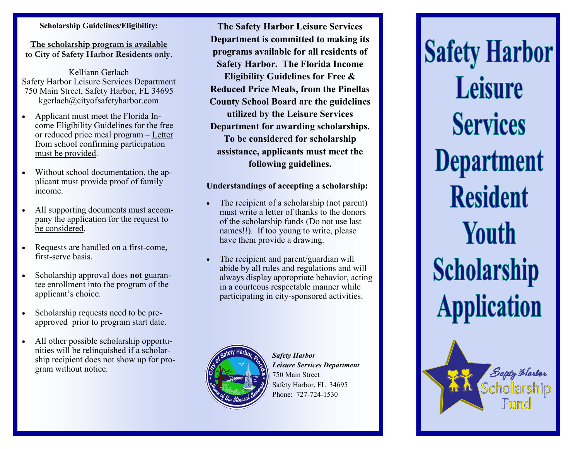## **Scholarship Guidelines/Eligibility:**

**The scholarship program is available to City of Safety Harbor Residents only.** 

Kelliann Gerlach Safety Harbor Leisure Services Department 750 Main Street, Safety Harbor, FL 34695 kgerlach@cityofsafetyharbor.com

- Applicant must meet the Florida Income Eligibility Guidelines for the free or reduced price meal program – Letter from school confirming participation must be provided.
- Without school documentation, the applicant must provide proof of family income.
- All supporting documents must accompany the application for the request to be considered.
- Requests are handled on a first-come, first-serve basis.
- Scholarship approval does **not** guarantee enrollment into the program of the applicant's choice.
- Scholarship requests need to be preapproved prior to program start date.
- All other possible scholarship opportunities will be relinquished if a scholarship recipient does not show up for program without notice.

**The Safety Harbor Leisure Services Department is committed to making its programs available for all residents of Safety Harbor. The Florida Income Eligibility Guidelines for Free & Reduced Price Meals, from the Pinellas County School Board are the guidelines utilized by the Leisure Services Department for awarding scholarships. To be considered for scholarship assistance, applicants must meet the following guidelines.** 

## **Understandings of accepting a scholarship:**

- The recipient of a scholarship (not parent) must write a letter of thanks to the donors of the scholarship funds (Do not use last names!!). If too young to write, please have them provide a drawing.
- The recipient and parent/guardian will abide by all rules and regulations and will always display appropriate behavior, acting in a courteous respectable manner while participating in city-sponsored activities.



*Safety Harbor Leisure Services Department* 750 Main Street Safety Harbor, FL 34695 Phone: 727-724-1530



Sagety Harber